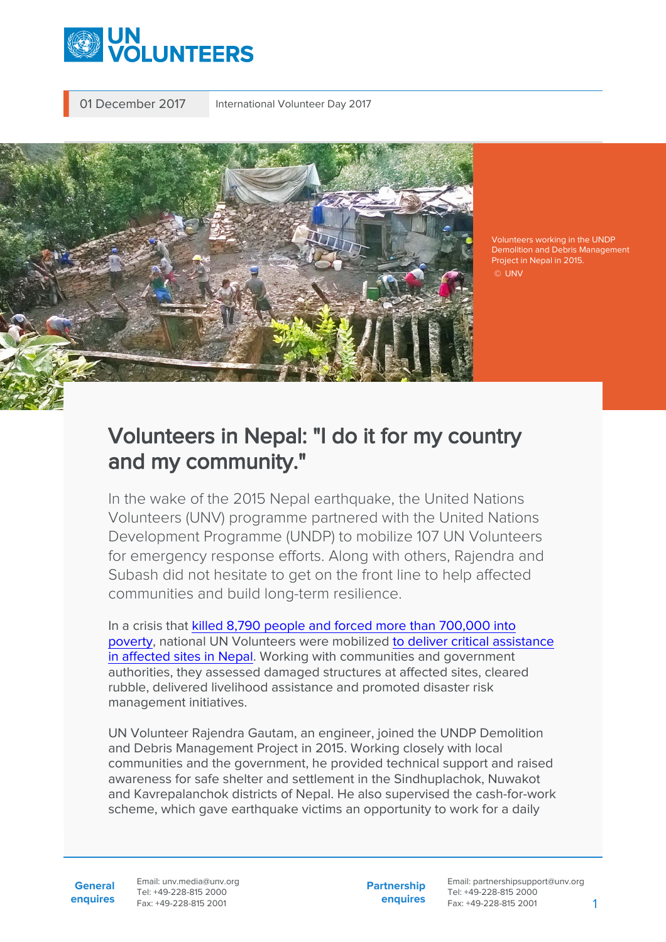

01 December 2017 International Volunteer Day 2017



Volunteers working in the UNDP Demolition and Debris Management Project in Nepal in 2015. © UNV

# Volunteers in Nepal: "I do it for my country and my community."

In the wake of the 2015 Nepal earthquake, the United Nations Volunteers (UNV) programme partnered with the United Nations Development Programme (UNDP) to mobilize 107 UN Volunteers for emergency response efforts. Along with others, Rajendra and Subash did not hesitate to get on the front line to help affected communities and build long-term resilience.

In a crisis that [killed 8,790 people and forced more than 700,000 into](https://www.unv.org/news/national-un-volunteers-front-line-emergency-response-nepal-earthquake) [poverty](https://www.unv.org/news/national-un-volunteers-front-line-emergency-response-nepal-earthquake), national UN Volunteers were mobilized [to deliver critical assistance](https://www.unv.org/news/rebuilding-earthquake-affected-communities-nepal) [in affected sites in Nepal.](https://www.unv.org/news/rebuilding-earthquake-affected-communities-nepal) Working with communities and government authorities, they assessed damaged structures at affected sites, cleared rubble, delivered livelihood assistance and promoted disaster risk management initiatives.

UN Volunteer Rajendra Gautam, an engineer, joined the UNDP Demolition and Debris Management Project in 2015. Working closely with local communities and the government, he provided technical support and raised awareness for safe shelter and settlement in the Sindhuplachok, Nuwakot and Kavrepalanchok districts of Nepal. He also supervised the cash-for-work scheme, which gave earthquake victims an opportunity to work for a daily

**General enquires** Email: unv.media@unv.org Tel: +49-228-815 2000 Fax: +49-228-815 2001

**Partnership enquires** Email: partnershipsupport@unv.org Tel: +49-228-815 2000 Fax: +49-228-815 2001 1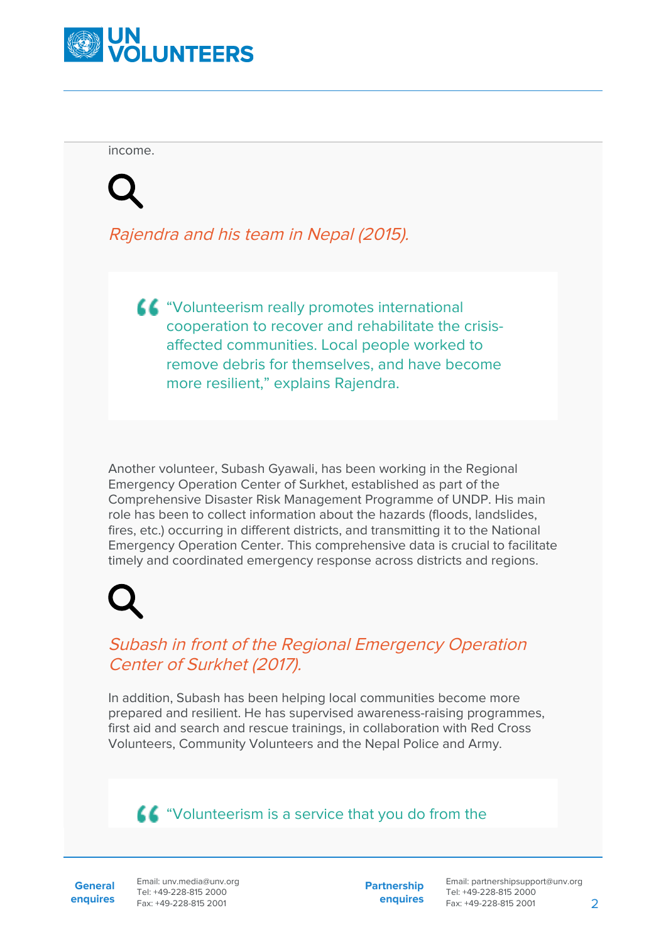

income.

Rajendra and his team in Nepal (2015).

"Volunteerism really promotes international cooperation to recover and rehabilitate the crisisaffected communities. Local people worked to remove debris for themselves, and have become more resilient," explains Rajendra.

Another volunteer, Subash Gyawali, has been working in the Regional Emergency Operation Center of Surkhet, established as part of the Comprehensive Disaster Risk Management Programme of UNDP. His main role has been to collect information about the hazards (floods, landslides, fires, etc.) occurring in different districts, and transmitting it to the National Emergency Operation Center. This comprehensive data is crucial to facilitate timely and coordinated emergency response across districts and regions.

### Subash in front of the Regional Emergency Operation Center of Surkhet (2017).

In addition, Subash has been helping local communities become more prepared and resilient. He has supervised awareness-raising programmes, first aid and search and rescue trainings, in collaboration with Red Cross Volunteers, Community Volunteers and the Nepal Police and Army.

## **44** "Volunteerism is a service that you do from the

**General enquires** Email: unv.media@unv.org Tel: +49-228-815 2000 Fax: +49-228-815 2001

**Partnership enquires**

Email: partnershipsupport@unv.org Tel: +49-228-815 2000 Fax: +49-228-815 2001 2